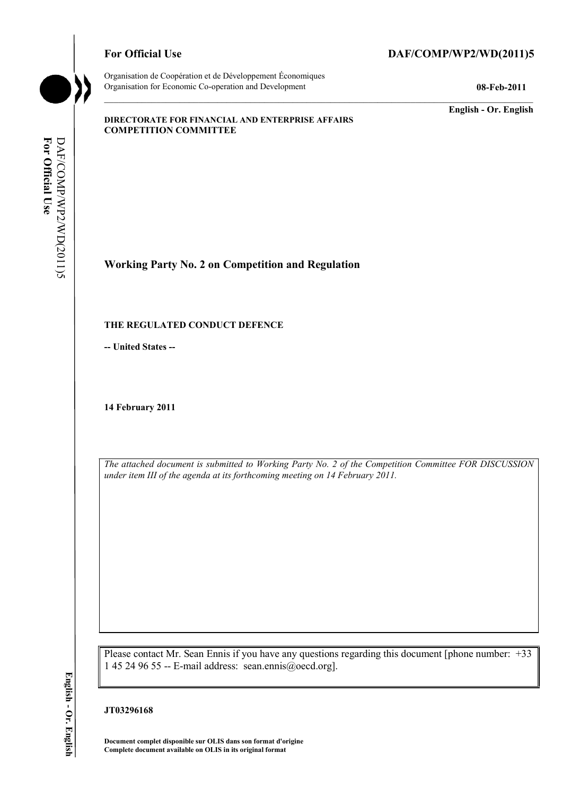# For Official Use DAF/COMP/WP2/WD(2011)5



Organisation de Coopération et de Développement Économiques Organisation for Economic Co-operation and Development **08-Feb-2011** 

**English - Or. English** 

#### **DIRECTORATE FOR FINANCIAL AND ENTERPRISE AFFAIRS COMPETITION COMMITTEE**

**Working Party No. 2 on Competition and Regulation** 

### **THE REGULATED CONDUCT DEFENCE**

**-- United States --**

**14 February 2011** 

*The attached document is submitted to Working Party No. 2 of the Competition Committee FOR DISCUSSION under item III of the agenda at its forthcoming meeting on 14 February 2011.* 

Please contact Mr. Sean Ennis if you have any questions regarding this document [phone number: +33 1 45 24 96 55 -- E-mail address: sean.ennis@oecd.org].

# English - Or. English **English - Or. English**

**JT03296168** 

 **Document complet disponible sur OLIS dans son format d'origine Complete document available on OLIS in its original format**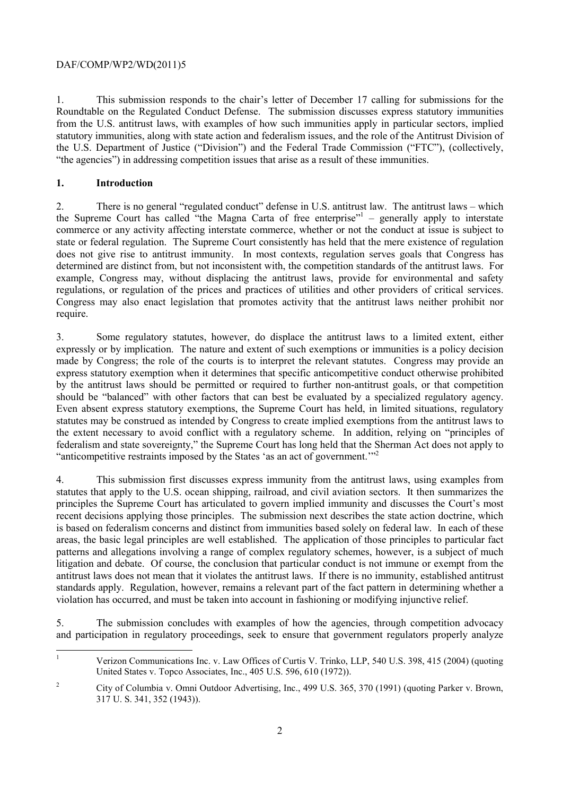1. This submission responds to the chair's letter of December 17 calling for submissions for the Roundtable on the Regulated Conduct Defense. The submission discusses express statutory immunities from the U.S. antitrust laws, with examples of how such immunities apply in particular sectors, implied statutory immunities, along with state action and federalism issues, and the role of the Antitrust Division of the U.S. Department of Justice ("Division") and the Federal Trade Commission ("FTC"), (collectively, "the agencies") in addressing competition issues that arise as a result of these immunities.

# **1. Introduction**

 $\overline{a}$ 

 regulations, or regulation of the prices and practices of utilities and other providers of critical services. 2. There is no general "regulated conduct" defense in U.S. antitrust law. The antitrust laws – which the Supreme Court has called "the Magna Carta of free enterprise"<sup>1</sup> – generally apply to interstate commerce or any activity affecting interstate commerce, whether or not the conduct at issue is subject to state or federal regulation. The Supreme Court consistently has held that the mere existence of regulation does not give rise to antitrust immunity. In most contexts, regulation serves goals that Congress has determined are distinct from, but not inconsistent with, the competition standards of the antitrust laws. For example, Congress may, without displacing the antitrust laws, provide for environmental and safety Congress may also enact legislation that promotes activity that the antitrust laws neither prohibit nor require.

 expressly or by implication. The nature and extent of such exemptions or immunities is a policy decision by the antitrust laws should be permitted or required to further non-antitrust goals, or that competition 3. Some regulatory statutes, however, do displace the antitrust laws to a limited extent, either made by Congress; the role of the courts is to interpret the relevant statutes. Congress may provide an express statutory exemption when it determines that specific anticompetitive conduct otherwise prohibited should be "balanced" with other factors that can best be evaluated by a specialized regulatory agency. Even absent express statutory exemptions, the Supreme Court has held, in limited situations, regulatory statutes may be construed as intended by Congress to create implied exemptions from the antitrust laws to the extent necessary to avoid conflict with a regulatory scheme. In addition, relying on "principles of federalism and state sovereignty," the Supreme Court has long held that the Sherman Act does not apply to "anticompetitive restraints imposed by the States 'as an act of government.'"<sup>2</sup>

 is based on federalism concerns and distinct from immunities based solely on federal law. In each of these 4. This submission first discusses express immunity from the antitrust laws, using examples from statutes that apply to the U.S. ocean shipping, railroad, and civil aviation sectors. It then summarizes the principles the Supreme Court has articulated to govern implied immunity and discusses the Court's most recent decisions applying those principles. The submission next describes the state action doctrine, which areas, the basic legal principles are well established. The application of those principles to particular fact patterns and allegations involving a range of complex regulatory schemes, however, is a subject of much litigation and debate. Of course, the conclusion that particular conduct is not immune or exempt from the antitrust laws does not mean that it violates the antitrust laws. If there is no immunity, established antitrust standards apply. Regulation, however, remains a relevant part of the fact pattern in determining whether a violation has occurred, and must be taken into account in fashioning or modifying injunctive relief.

5. The submission concludes with examples of how the agencies, through competition advocacy and participation in regulatory proceedings, seek to ensure that government regulators properly analyze

<sup>1</sup> Verizon Communications Inc. v. Law Offices of Curtis V. Trinko, LLP, 540 U.S. 398, 415 (2004) (quoting United States v. Topco Associates, Inc., 405 U.S. 596, 610 (1972)).

<sup>&</sup>lt;sup>2</sup> City of Columbia v. Omni Outdoor Advertising, Inc., 499 U.S. 365, 370 (1991) (quoting Parker v. Brown, 317 U. S. 341, 352 (1943)).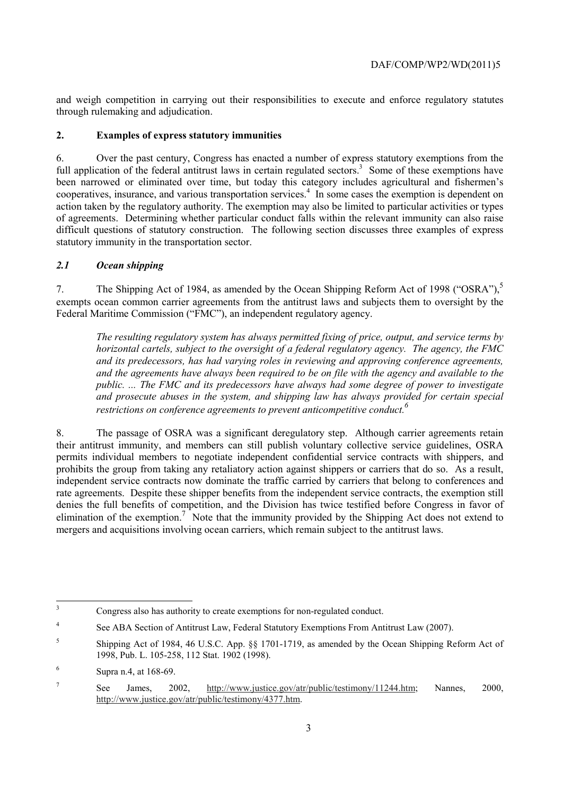and weigh competition in carrying out their responsibilities to execute and enforce regulatory statutes through rulemaking and adjudication.

# **2. Examples of express statutory immunities**

full application of the federal antitrust laws in certain regulated sectors.<sup>3</sup> Some of these exemptions have cooperatives, insurance, and various transportation services.<sup>4</sup> In some cases the exemption is dependent on difficult questions of statutory construction. The following section discusses three examples of express 6. Over the past century, Congress has enacted a number of express statutory exemptions from the been narrowed or eliminated over time, but today this category includes agricultural and fishermen's action taken by the regulatory authority. The exemption may also be limited to particular activities or types of agreements. Determining whether particular conduct falls within the relevant immunity can also raise statutory immunity in the transportation sector.

# *2.1 Ocean shipping*

7. The Shipping Act of 1984, as amended by the Ocean Shipping Reform Act of 1998 ("OSRA"),<sup>5</sup> exempts ocean common carrier agreements from the antitrust laws and subjects them to oversight by the Federal Maritime Commission ("FMC"), an independent regulatory agency.

*The resulting regulatory system has always permitted fixing of price, output, and service terms by horizontal cartels, subject to the oversight of a federal regulatory agency. The agency, the FMC and its predecessors, has had varying roles in reviewing and approving conference agreements, and the agreements have always been required to be on file with the agency and available to the public. ... The FMC and its predecessors have always had some degree of power to investigate and prosecute abuses in the system, and shipping law has always provided for certain special restrictions on conference agreements to prevent anticompetitive conduct.6* 

8. The passage of OSRA was a significant deregulatory step. Although carrier agreements retain their antitrust immunity, and members can still publish voluntary collective service guidelines, OSRA permits individual members to negotiate independent confidential service contracts with shippers, and prohibits the group from taking any retaliatory action against shippers or carriers that do so. As a result, independent service contracts now dominate the traffic carried by carriers that belong to conferences and rate agreements. Despite these shipper benefits from the independent service contracts, the exemption still denies the full benefits of competition, and the Division has twice testified before Congress in favor of elimination of the exemption.<sup>7</sup> Note that the immunity provided by the Shipping Act does not extend to mergers and acquisitions involving ocean carriers, which remain subject to the antitrust laws.

 3 Congress also has authority to create exemptions for non-regulated conduct.

<sup>&</sup>lt;sup>4</sup> See ABA Section of Antitrust Law, Federal Statutory Exemptions From Antitrust Law (2007).

<sup>5</sup> Shipping Act of 1984, 46 U.S.C. App. §§ 1701-1719, as amended by the Ocean Shipping Reform Act of 1998, Pub. L. 105-258, 112 Stat. 1902 (1998).

 $6$  Supra n.4, at 168-69.

<sup>7</sup> See James, 2002, http://www.justice.gov/atr/public/testimony/11244.htm; Nannes, 2000, http://www.justice.gov/atr/public/testimony/4377.htm.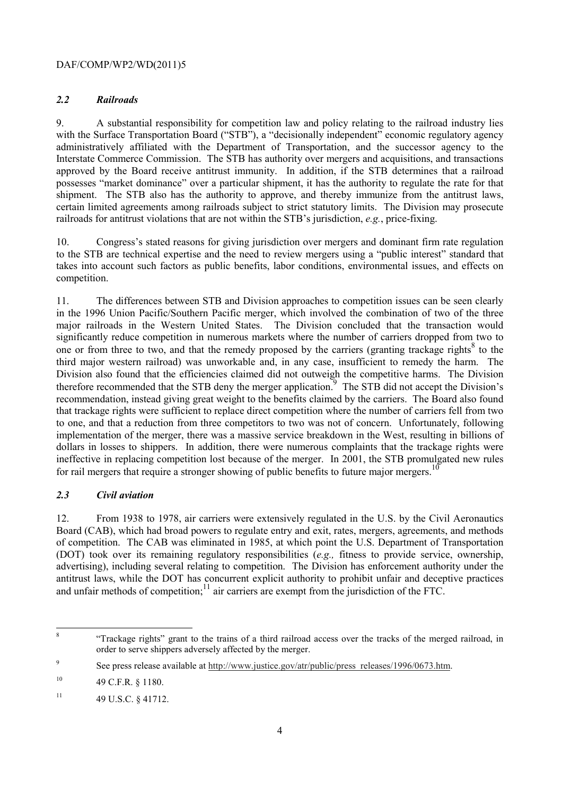# *2.2 Railroads*

9. A substantial responsibility for competition law and policy relating to the railroad industry lies with the Surface Transportation Board ("STB"), a "decisionally independent" economic regulatory agency administratively affiliated with the Department of Transportation, and the successor agency to the Interstate Commerce Commission. The STB has authority over mergers and acquisitions, and transactions approved by the Board receive antitrust immunity. In addition, if the STB determines that a railroad possesses "market dominance" over a particular shipment, it has the authority to regulate the rate for that shipment. The STB also has the authority to approve, and thereby immunize from the antitrust laws, certain limited agreements among railroads subject to strict statutory limits. The Division may prosecute railroads for antitrust violations that are not within the STB's jurisdiction, *e.g.*, price-fixing.

10. Congress's stated reasons for giving jurisdiction over mergers and dominant firm rate regulation to the STB are technical expertise and the need to review mergers using a "public interest" standard that takes into account such factors as public benefits, labor conditions, environmental issues, and effects on competition.

11. The differences between STB and Division approaches to competition issues can be seen clearly in the 1996 Union Pacific/Southern Pacific merger, which involved the combination of two of the three major railroads in the Western United States. The Division concluded that the transaction would significantly reduce competition in numerous markets where the number of carriers dropped from two to one or from three to two, and that the remedy proposed by the carriers (granting trackage rights<sup>8</sup> to the third major western railroad) was unworkable and, in any case, insufficient to remedy the harm. The Division also found that the efficiencies claimed did not outweigh the competitive harms. The Division therefore recommended that the STB deny the merger application.<sup>9</sup> The STB did not accept the Division's recommendation, instead giving great weight to the benefits claimed by the carriers. The Board also found that trackage rights were sufficient to replace direct competition where the number of carriers fell from two to one, and that a reduction from three competitors to two was not of concern. Unfortunately, following implementation of the merger, there was a massive service breakdown in the West, resulting in billions of dollars in losses to shippers. In addition, there were numerous complaints that the trackage rights were ineffective in replacing competition lost because of the merger. In 2001, the STB promulgated new rules for rail mergers that require a stronger showing of public benefits to future major mergers.<sup>10</sup>

# *2.3 Civil aviation*

12. From 1938 to 1978, air carriers were extensively regulated in the U.S. by the Civil Aeronautics Board (CAB), which had broad powers to regulate entry and exit, rates, mergers, agreements, and methods of competition. The CAB was eliminated in 1985, at which point the U.S. Department of Transportation (DOT) took over its remaining regulatory responsibilities (*e.g.,* fitness to provide service, ownership, advertising), including several relating to competition. The Division has enforcement authority under the antitrust laws, while the DOT has concurrent explicit authority to prohibit unfair and deceptive practices and unfair methods of competition;<sup>11</sup> air carriers are exempt from the jurisdiction of the FTC.

 8 "Trackage rights" grant to the trains of a third railroad access over the tracks of the merged railroad, in order to serve shippers adversely affected by the merger.

<sup>&</sup>lt;sup>9</sup> See press release available at http://www.justice.gov/atr/public/press\_releases/1996/0673.htm.

 $10$ 10 49 C.F.R. § 1180.

 $11$  49 U.S.C. § 41712.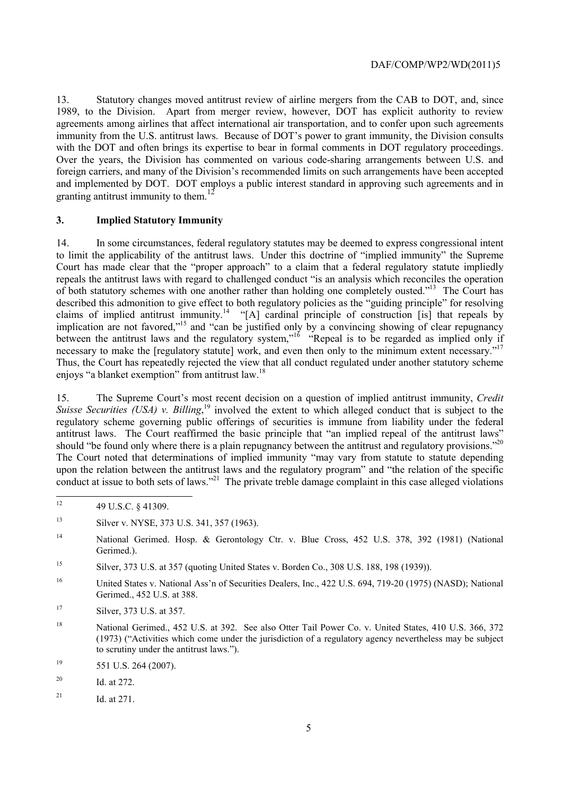13. Statutory changes moved antitrust review of airline mergers from the CAB to DOT, and, since 1989, to the Division. Apart from merger review, however, DOT has explicit authority to review agreements among airlines that affect international air transportation, and to confer upon such agreements immunity from the U.S. antitrust laws. Because of DOT's power to grant immunity, the Division consults with the DOT and often brings its expertise to bear in formal comments in DOT regulatory proceedings. Over the years, the Division has commented on various code-sharing arrangements between U.S. and foreign carriers, and many of the Division's recommended limits on such arrangements have been accepted and implemented by DOT. DOT employs a public interest standard in approving such agreements and in granting antitrust immunity to them.<sup>12</sup>

### **3. Implied Statutory Immunity**

 described this admonition to give effect to both regulatory policies as the "guiding principle" for resolving necessary to make the [regulatory statute] work, and even then only to the minimum extent necessary."<sup>17</sup> 14. In some circumstances, federal regulatory statutes may be deemed to express congressional intent to limit the applicability of the antitrust laws. Under this doctrine of "implied immunity" the Supreme Court has made clear that the "proper approach" to a claim that a federal regulatory statute impliedly repeals the antitrust laws with regard to challenged conduct "is an analysis which reconciles the operation of both statutory schemes with one another rather than holding one completely ousted."13 The Court has claims of implied antitrust immunity.<sup>14</sup> "[A] cardinal principle of construction [is] that repeals by implication are not favored,"15 and "can be justified only by a convincing showing of clear repugnancy between the antitrust laws and the regulatory system,"<sup>16</sup> "Repeal is to be regarded as implied only if Thus, the Court has repeatedly rejected the view that all conduct regulated under another statutory scheme enjoys "a blanket exemption" from antitrust law.<sup>18</sup>

should "be found only where there is a plain repugnancy between the antitrust and regulatory provisions."<sup>20</sup> upon the relation between the antitrust laws and the regulatory program" and "the relation of the specific 15. The Supreme Court's most recent decision on a question of implied antitrust immunity, *Credit Suisse Securities (USA) v. Billing*, 19 involved the extent to which alleged conduct that is subject to the regulatory scheme governing public offerings of securities is immune from liability under the federal antitrust laws. The Court reaffirmed the basic principle that "an implied repeal of the antitrust laws" The Court noted that determinations of implied immunity "may vary from statute to statute depending conduct at issue to both sets of laws."<sup>21</sup> The private treble damage complaint in this case alleged violations

- 16 United States v. National Ass'n of Securities Dealers, Inc., 422 U.S. 694, 719-20 (1975) (NASD); National Gerimed., 452 U.S. at 388.
- 17 Silver, 373 U.S. at 357.
- (1973) ("Activities which come under the jurisdiction of a regulatory agency nevertheless may be subject 18 National Gerimed., 452 U.S. at 392. See also Otter Tail Power Co. v. United States, 410 U.S. 366, 372 to scrutiny under the antitrust laws.").
- 19 551 U.S. 264 (2007).
- 20 Id. at 272.
- <sup>21</sup> Id. at  $271$ .

 12 49 U.S.C. § 41309.

 $13$ Silver v. NYSE, 373 U.S. 341, 357 (1963).

<sup>&</sup>lt;sup>14</sup> National Gerimed. Hosp. & Gerontology Ctr. v. Blue Cross, 452 U.S. 378, 392 (1981) (National Gerimed.).

<sup>15</sup> Silver, 373 U.S. at 357 (quoting United States v. Borden Co., 308 U.S. 188, 198 (1939)).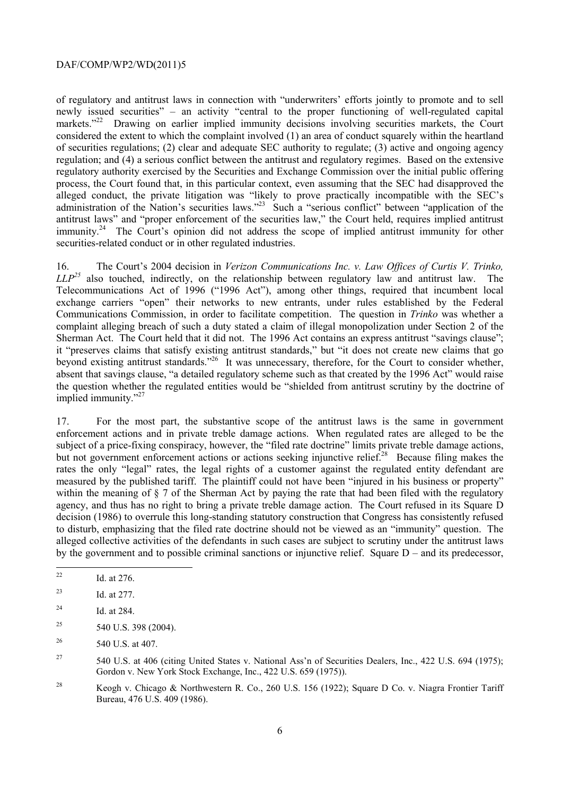of regulatory and antitrust laws in connection with "underwriters' efforts jointly to promote and to sell newly issued securities" – an activity "central to the proper functioning of well-regulated capital markets."<sup>22</sup> Drawing on earlier implied immunity decisions involving securities markets, the Court considered the extent to which the complaint involved (1) an area of conduct squarely within the heartland of securities regulations; (2) clear and adequate SEC authority to regulate; (3) active and ongoing agency regulation; and (4) a serious conflict between the antitrust and regulatory regimes. Based on the extensive regulatory authority exercised by the Securities and Exchange Commission over the initial public offering process, the Court found that, in this particular context, even assuming that the SEC had disapproved the alleged conduct, the private litigation was "likely to prove practically incompatible with the SEC's administration of the Nation's securities laws."<sup>23</sup> Such a "serious conflict" between "application of the antitrust laws" and "proper enforcement of the securities law," the Court held, requires implied antitrust immunity.<sup>24</sup> The Court's opinion did not address the scope of implied antitrust immunity for other securities-related conduct or in other regulated industries.

 *LLP25* also touched, indirectly, on the relationship between regulatory law and antitrust law. The beyond existing antitrust standards."<sup>26</sup> It was unnecessary, therefore, for the Court to consider whether, 16. The Court's 2004 decision in *Verizon Communications Inc. v. Law Offices of Curtis V. Trinko,*  Telecommunications Act of 1996 ("1996 Act"), among other things, required that incumbent local exchange carriers "open" their networks to new entrants, under rules established by the Federal Communications Commission, in order to facilitate competition. The question in *Trinko* was whether a complaint alleging breach of such a duty stated a claim of illegal monopolization under Section 2 of the Sherman Act. The Court held that it did not. The 1996 Act contains an express antitrust "savings clause"; it "preserves claims that satisfy existing antitrust standards," but "it does not create new claims that go absent that savings clause, "a detailed regulatory scheme such as that created by the 1996 Act" would raise the question whether the regulated entities would be "shielded from antitrust scrutiny by the doctrine of implied immunity."<sup>27</sup>

but not government enforcement actions or actions seeking injunctive relief.<sup>28</sup> Because filing makes the 17. For the most part, the substantive scope of the antitrust laws is the same in government enforcement actions and in private treble damage actions. When regulated rates are alleged to be the subject of a price-fixing conspiracy, however, the "filed rate doctrine" limits private treble damage actions, rates the only "legal" rates, the legal rights of a customer against the regulated entity defendant are measured by the published tariff. The plaintiff could not have been "injured in his business or property" within the meaning of § 7 of the Sherman Act by paying the rate that had been filed with the regulatory agency, and thus has no right to bring a private treble damage action. The Court refused in its Square D decision (1986) to overrule this long-standing statutory construction that Congress has consistently refused to disturb, emphasizing that the filed rate doctrine should not be viewed as an "immunity" question. The alleged collective activities of the defendants in such cases are subject to scrutiny under the antitrust laws by the government and to possible criminal sanctions or injunctive relief. Square D – and its predecessor,

- Id. at 276.
- 23 Id. at 277.

 $\overline{a}$ 

- $^{24}$  Id. at 284.
- 25 540 U.S. 398 (2004).
- 26 540 U.S. at 407.

27 Gordon v. New York Stock Exchange, Inc., 422 U.S. 659 (1975)). 27 540 U.S. at 406 (citing United States v. National Ass'n of Securities Dealers, Inc., 422 U.S. 694 (1975);

<sup>28</sup> Keogh v. Chicago & Northwestern R. Co., 260 U.S. 156 (1922); Square D Co. v. Niagra Frontier Tariff Bureau, 476 U.S. 409 (1986).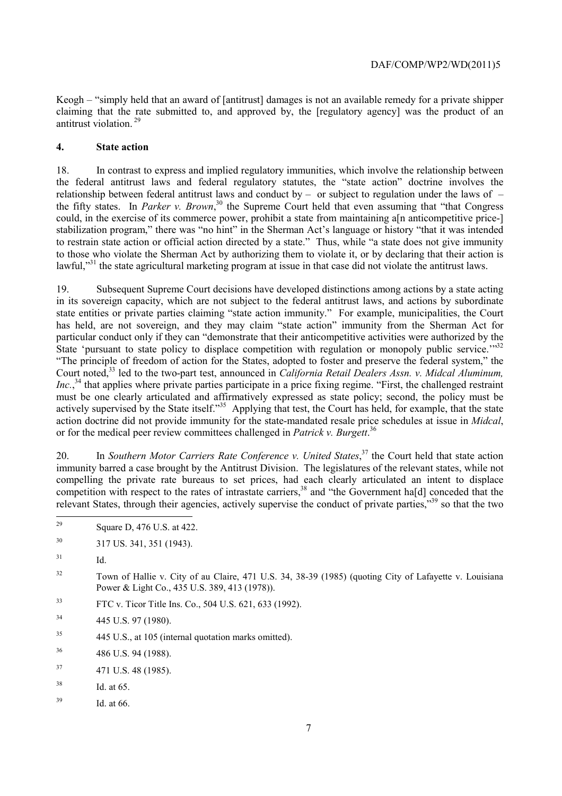Keogh – "simply held that an award of [antitrust] damages is not an available remedy for a private shipper claiming that the rate submitted to, and approved by, the [regulatory agency] was the product of an antitrust violation. 29

#### **4. State action**

relationship between federal antitrust laws and conduct by  $-$  or subject to regulation under the laws of  $-$  to restrain state action or official action directed by a state." Thus, while "a state does not give immunity 18. In contrast to express and implied regulatory immunities, which involve the relationship between the federal antitrust laws and federal regulatory statutes, the "state action" doctrine involves the relationship between federal antitrust laws and conduct by – or subject to regulation under the laws of – the fifty states. In *Parker v. Brown*,<sup>30</sup> the Supreme Court held that even assuming that "that Congress" could, in the exercise of its commerce power, prohibit a state from maintaining a[n anticompetitive price-] stabilization program," there was "no hint" in the Sherman Act's language or history "that it was intended to those who violate the Sherman Act by authorizing them to violate it, or by declaring that their action is lawful,<sup>331</sup> the state agricultural marketing program at issue in that case did not violate the antitrust laws.

State 'pursuant to state policy to displace competition with regulation or monopoly public service."<sup>332</sup> 19. Subsequent Supreme Court decisions have developed distinctions among actions by a state acting in its sovereign capacity, which are not subject to the federal antitrust laws, and actions by subordinate state entities or private parties claiming "state action immunity." For example, municipalities, the Court has held, are not sovereign, and they may claim "state action" immunity from the Sherman Act for particular conduct only if they can "demonstrate that their anticompetitive activities were authorized by the "The principle of freedom of action for the States, adopted to foster and preserve the federal system," the Court noted,<sup>33</sup> led to the two-part test, announced in *California Retail Dealers Assn. v. Midcal Aluminum*, *Inc.*,<sup>34</sup> that applies where private parties participate in a price fixing regime. "First, the challenged restraint must be one clearly articulated and affirmatively expressed as state policy; second, the policy must be actively supervised by the State itself."<sup>35</sup> Applying that test, the Court has held, for example, that the state action doctrine did not provide immunity for the state-mandated resale price schedules at issue in *Midcal*, or for the medical peer review committees challenged in *Patrick v. Burgett*. 36

competition with respect to the rates of intrastate carriers,  $38$  and "the Government ha[d] conceded that the 20. In *Southern Motor Carriers Rate Conference v. United States*,<sup>37</sup> the Court held that state action immunity barred a case brought by the Antitrust Division. The legislatures of the relevant states, while not compelling the private rate bureaus to set prices, had each clearly articulated an intent to displace relevant States, through their agencies, actively supervise the conduct of private parties,"39 so that the two

- <sup>32</sup> Town of Hallie v. City of au Claire, 471 U.S. 34, 38-39 (1985) (quoting City of Lafayette v. Louisiana Power & Light Co., 435 U.S. 389, 413 (1978)).
- 33 FTC v. Ticor Title Ins. Co., 504 U.S. 621, 633 (1992).
- 34 445 U.S. 97 (1980).
- $35$ 35 445 U.S., at 105 (internal quotation marks omitted).
- 36 36 486 U.S. 94 (1988).
- $37$  471 U.S. 48 (1985).
- 38 Id. at 65.
- $^{39}$  Id. at 66.

 Square D, 476 U.S. at 422.

<sup>30</sup> 30 317 US. 341, 351 (1943).

 $31$  Id.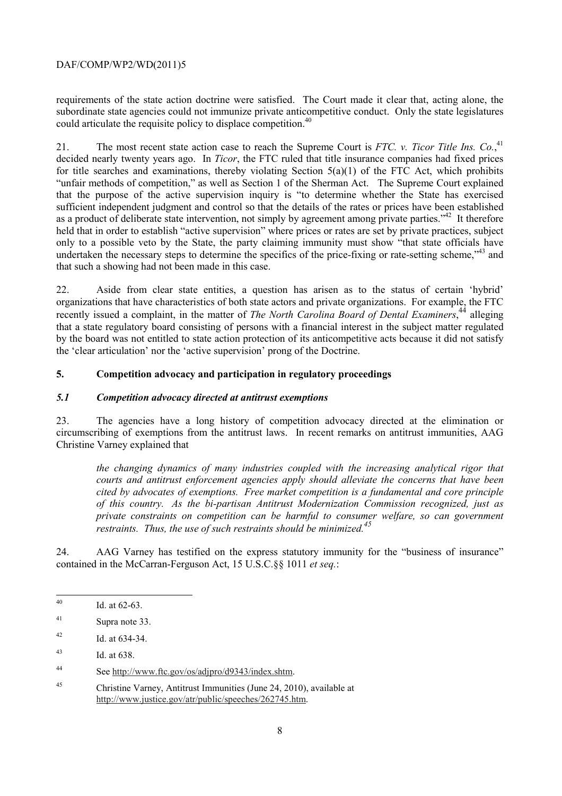could articulate the requisite policy to displace competition.<sup>40</sup> requirements of the state action doctrine were satisfied. The Court made it clear that, acting alone, the subordinate state agencies could not immunize private anticompetitive conduct. Only the state legislatures

 "unfair methods of competition," as well as Section 1 of the Sherman Act. The Supreme Court explained 21. The most recent state action case to reach the Supreme Court is *FTC. v. Ticor Title Ins. Co.*<sup>41</sup>, decided nearly twenty years ago. In *Ticor*, the FTC ruled that title insurance companies had fixed prices for title searches and examinations, thereby violating Section 5(a)(1) of the FTC Act, which prohibits that the purpose of the active supervision inquiry is "to determine whether the State has exercised sufficient independent judgment and control so that the details of the rates or prices have been established as a product of deliberate state intervention, not simply by agreement among private parties.<sup>342</sup> It therefore held that in order to establish "active supervision" where prices or rates are set by private practices, subject only to a possible veto by the State, the party claiming immunity must show "that state officials have undertaken the necessary steps to determine the specifics of the price-fixing or rate-setting scheme.<sup>743</sup> and that such a showing had not been made in this case.

 22. Aside from clear state entities, a question has arisen as to the status of certain 'hybrid' organizations that have characteristics of both state actors and private organizations. For example, the FTC recently issued a complaint, in the matter of *The North Carolina Board of Dental Examiners*,<sup>44</sup> alleging that a state regulatory board consisting of persons with a financial interest in the subject matter regulated by the board was not entitled to state action protection of its anticompetitive acts because it did not satisfy the 'clear articulation' nor the 'active supervision' prong of the Doctrine.

### **5. Competition advocacy and participation in regulatory proceedings**

#### *5.1 Competition advocacy directed at antitrust exemptions*

23. The agencies have a long history of competition advocacy directed at the elimination or circumscribing of exemptions from the antitrust laws. In recent remarks on antitrust immunities, AAG Christine Varney explained that

 *the changing dynamics of many industries coupled with the increasing analytical rigor that courts and antitrust enforcement agencies apply should alleviate the concerns that have been cited by advocates of exemptions. Free market competition is a fundamental and core principle of this country. As the bi-partisan Antitrust Modernization Commission recognized, just as private constraints on competition can be harmful to consumer welfare, so can government restraints. Thus, the use of such restraints should be minimized.45* 

24. AAG Varney has testified on the express statutory immunity for the "business of insurance" contained in the McCarran-Ferguson Act, 15 U.S.C.§§ 1011 *et seq.*:

Id. at 62-63.

<sup>41</sup> Supra note 33.

 $^{42}$  Id. at 634-34.

<sup>43</sup> Id. at 638.

<sup>44</sup> See http://www.ftc.gov/os/adjpro/d9343/index.shtm.

<sup>45</sup> Christine Varney, Antitrust Immunities (June 24, 2010), available at http://www.justice.gov/atr/public/speeches/262745.htm.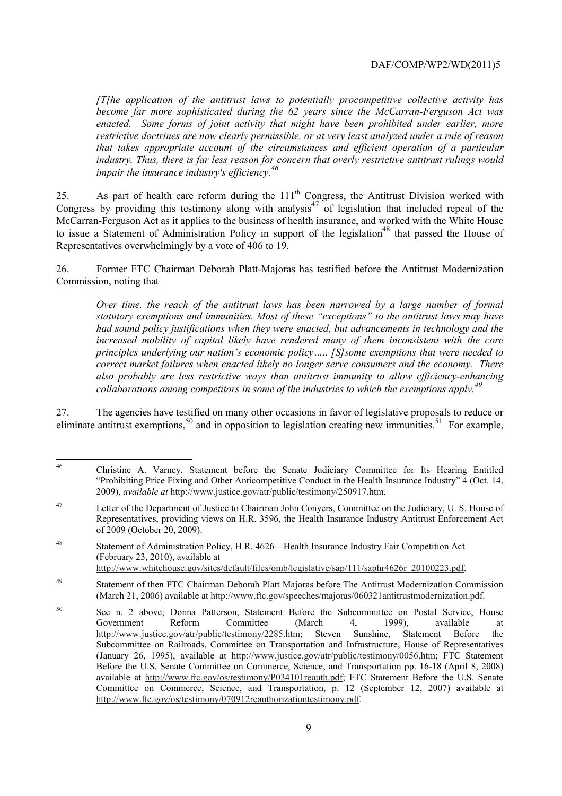that takes appropriate account of the circumstances and efficient operation of a particular *[T]he application of the antitrust laws to potentially procompetitive collective activity has become far more sophisticated during the 62 years since the McCarran-Ferguson Act was enacted. Some forms of joint activity that might have been prohibited under earlier, more restrictive doctrines are now clearly permissible, or at very least analyzed under a rule of reason industry. Thus, there is far less reason for concern that overly restrictive antitrust rulings would impair the insurance industry's efficiency.46* 

Ì 25. As part of health care reform during the  $111<sup>th</sup>$  Congress, the Antitrust Division worked with Congress by providing this testimony along with analysis<sup>47</sup> of legislation that included repeal of the McCarran-Ferguson Act as it applies to the business of health insurance, and worked with the White House to issue a Statement of Administration Policy in support of the legislation<sup>48</sup> that passed the House of Representatives overwhelmingly by a vote of 406 to 19.

 Commission, noting that 26. Former FTC Chairman Deborah Platt-Majoras has testified before the Antitrust Modernization

 *Over time, the reach of the antitrust laws has been narrowed by a large number of formal statutory exemptions and immunities. Most of these "exceptions" to the antitrust laws may have had sound policy justifications when they were enacted, but advancements in technology and the increased mobility of capital likely have rendered many of them inconsistent with the core principles underlying our nation's economic policy….. [S]some exemptions that were needed to correct market failures when enacted likely no longer serve consumers and the economy. There also probably are less restrictive ways than antitrust immunity to allow efficiency-enhancing collaborations among competitors in some of the industries to which the exemptions apply.<sup>49</sup>*

27. The agencies have testified on many other occasions in favor of legislative proposals to reduce or eliminate antitrust exemptions,<sup>50</sup> and in opposition to legislation creating new immunities.<sup>51</sup> For example,

<sup>46</sup> 46 Christine A. Varney, Statement before the Senate Judiciary Committee for Its Hearing Entitled "Prohibiting Price Fixing and Other Anticompetitive Conduct in the Health Insurance Industry" 4 (Oct. 14, 2009), *available at* http://www.justice.gov/atr/public/testimony/250917.htm.

<sup>47</sup>  Representatives, providing views on H.R. 3596, the Health Insurance Industry Antitrust Enforcement Act Letter of the Department of Justice to Chairman John Conyers, Committee on the Judiciary, U. S. House of of 2009 (October 20, 2009).

<sup>48</sup> Statement of Administration Policy, H.R. 4626—Health Insurance Industry Fair Competition Act (February 23, 2010), available at http://www.whitehouse.gov/sites/default/files/omb/legislative/sap/111/saphr4626r\_20100223.pdf.

<sup>49</sup> Statement of then FTC Chairman Deborah Platt Majoras before The Antitrust Modernization Commission (March 21, 2006) available at http://www.ftc.gov/speeches/majoras/060321antitrustmodernization.pdf.

<sup>50</sup> See n. 2 above; Donna Patterson, Statement Before the Subcommittee on Postal Service, House Government Reform Committee (March 4, 1999), available at http://www.justice.gov/atr/public/testimony/2285.htm; Steven Sunshine, Statement Before the Subcommittee on Railroads, Committee on Transportation and Infrastructure, House of Representatives (January 26, 1995), available at http://www.justice.gov/atr/public/testimony/0056.htm; FTC Statement Before the U.S. Senate Committee on Commerce, Science, and Transportation pp. 16-18 (April 8, 2008) available at http://www.ftc.gov/os/testimony/P034101reauth.pdf; FTC Statement Before the U.S. Senate Committee on Commerce, Science, and Transportation, p. 12 (September 12, 2007) available at http://www.ftc.gov/os/testimony/070912reauthorizationtestimony.pdf.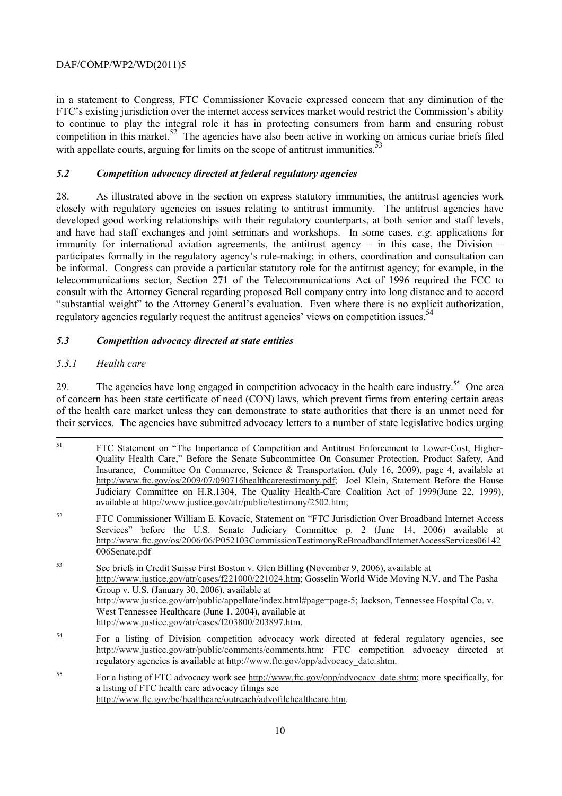in a statement to Congress, FTC Commissioner Kovacic expressed concern that any diminution of the FTC's existing jurisdiction over the internet access services market would restrict the Commission's ability to continue to play the integral role it has in protecting consumers from harm and ensuring robust competition in this market.<sup>52</sup> The agencies have also been active in working on amicus curiae briefs filed with appellate courts, arguing for limits on the scope of antitrust immunities. $\dot{3}$ 

# *5.2 Competition advocacy directed at federal regulatory agencies*

regulatory agencies regularly request the antitrust agencies' views on competition issues.<sup>54</sup> 28. As illustrated above in the section on express statutory immunities, the antitrust agencies work closely with regulatory agencies on issues relating to antitrust immunity. The antitrust agencies have developed good working relationships with their regulatory counterparts, at both senior and staff levels, and have had staff exchanges and joint seminars and workshops. In some cases, *e.g.* applications for immunity for international aviation agreements, the antitrust agency – in this case, the Division – participates formally in the regulatory agency's rule-making; in others, coordination and consultation can be informal. Congress can provide a particular statutory role for the antitrust agency; for example, in the telecommunications sector, Section 271 of the Telecommunications Act of 1996 required the FCC to consult with the Attorney General regarding proposed Bell company entry into long distance and to accord "substantial weight" to the Attorney General's evaluation. Even where there is no explicit authorization,

### *5.3 Competition advocacy directed at state entities*

### *5.3.1 Health care*

29. The agencies have long engaged in competition advocacy in the health care industry.<sup>55</sup> One area of concern has been state certificate of need (CON) laws, which prevent firms from entering certain areas of the health care market unless they can demonstrate to state authorities that there is an unmet need for their services. The agencies have submitted advocacy letters to a number of state legislative bodies urging

- -51 FTC Statement on "The Importance of Competition and Antitrust Enforcement to Lower-Cost, Higher-Quality Health Care," Before the Senate Subcommittee On Consumer Protection, Product Safety, And Insurance, Committee On Commerce, Science & Transportation, (July 16, 2009), page 4, available at http://www.ftc.gov/os/2009/07/090716healthcaretestimony.pdf; Joel Klein, Statement Before the House Judiciary Committee on H.R.1304, The Quality Health-Care Coalition Act of 1999(June 22, 1999), available at http://www.justice.gov/atr/public/testimony/2502.htm;
- Services" before the U.S. Senate Judiciary Committee p. 2 (June 14, 2006) available at 52 FTC Commissioner William E. Kovacic, Statement on "FTC Jurisdiction Over Broadband Internet Access http://www.ftc.gov/os/2006/06/P052103CommissionTestimonyReBroadbandInternetAccessServices06142 006Senate.pdf
- 53 53 See briefs in Credit Suisse First Boston v. Glen Billing (November 9, 2006), available at http://www.justice.gov/atr/cases/f221000/221024.htm; Gosselin World Wide Moving N.V. and The Pasha Group v. U.S. (January 30, 2006), available at http://www.justice.gov/atr/public/appellate/index.html#page=page-5; Jackson, Tennessee Hospital Co. v. West Tennessee Healthcare (June 1, 2004), available at http://www.justice.gov/atr/cases/f203800/203897.htm.
- 54 For a listing of Division competition advocacy work directed at federal regulatory agencies, see http://www.justice.gov/atr/public/comments/comments.htm; FTC competition advocacy directed at regulatory agencies is available at http://www.ftc.gov/opp/advocacy\_date.shtm.
- 55 55 For a listing of FTC advocacy work see http://www.ftc.gov/opp/advocacy\_date.shtm; more specifically, for a listing of FTC health care advocacy filings see http://www.ftc.gov/bc/healthcare/outreach/advofilehealthcare.htm.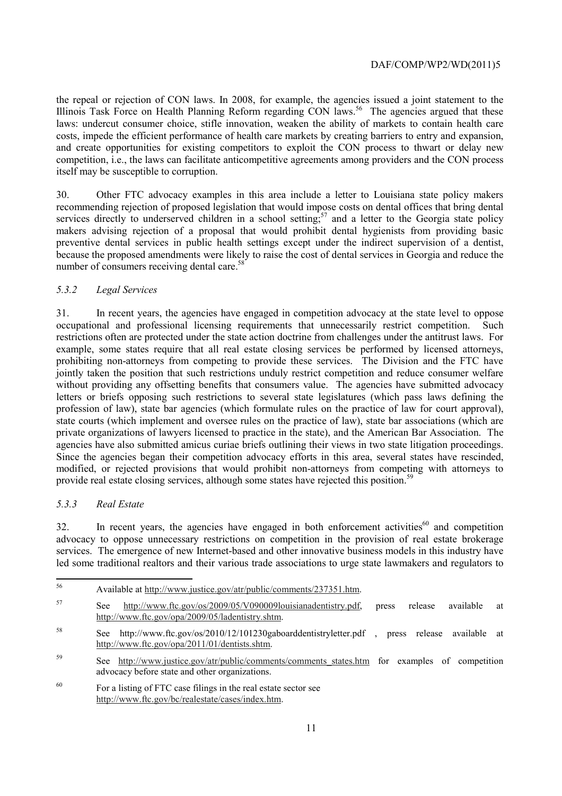the repeal or rejection of CON laws. In 2008, for example, the agencies issued a joint statement to the Illinois Task Force on Health Planning Reform regarding CON laws.<sup>56</sup> The agencies argued that these laws: undercut consumer choice, stifle innovation, weaken the ability of markets to contain health care costs, impede the efficient performance of health care markets by creating barriers to entry and expansion, and create opportunities for existing competitors to exploit the CON process to thwart or delay new competition, i.e., the laws can facilitate anticompetitive agreements among providers and the CON process itself may be susceptible to corruption.

30. Other FTC advocacy examples in this area include a letter to Louisiana state policy makers recommending rejection of proposed legislation that would impose costs on dental offices that bring dental services directly to underserved children in a school setting;<sup>57</sup> and a letter to the Georgia state policy makers advising rejection of a proposal that would prohibit dental hygienists from providing basic preventive dental services in public health settings except under the indirect supervision of a dentist, because the proposed amendments were likely to raise the cost of dental services in Georgia and reduce the number of consumers receiving dental care.<sup>58</sup>

### *5.3.2 Legal Services*

 private organizations of lawyers licensed to practice in the state), and the American Bar Association. The 31. In recent years, the agencies have engaged in competition advocacy at the state level to oppose occupational and professional licensing requirements that unnecessarily restrict competition. Such restrictions often are protected under the state action doctrine from challenges under the antitrust laws. For example, some states require that all real estate closing services be performed by licensed attorneys, prohibiting non-attorneys from competing to provide these services. The Division and the FTC have jointly taken the position that such restrictions unduly restrict competition and reduce consumer welfare without providing any offsetting benefits that consumers value. The agencies have submitted advocacy letters or briefs opposing such restrictions to several state legislatures (which pass laws defining the profession of law), state bar agencies (which formulate rules on the practice of law for court approval), state courts (which implement and oversee rules on the practice of law), state bar associations (which are agencies have also submitted amicus curiae briefs outlining their views in two state litigation proceedings. Since the agencies began their competition advocacy efforts in this area, several states have rescinded, modified, or rejected provisions that would prohibit non-attorneys from competing with attorneys to provide real estate closing services, although some states have rejected this position.<sup>59</sup>

#### *5.3.3 Real Estate*

 $\overline{a}$ 

 $32.$  In recent years, the agencies have engaged in both enforcement activities<sup>60</sup> and competition advocacy to oppose unnecessary restrictions on competition in the provision of real estate brokerage services. The emergence of new Internet-based and other innovative business models in this industry have led some traditional realtors and their various trade associations to urge state lawmakers and regulators to

| TV ATIAUTU AUTITUD. TV W W W. JUSTICU. EU V/ ALI/ DUOTIU/ COTHITIONIS/ 29 T 99 T. HUIT. |                                                                    |  |  |                   |    |
|-----------------------------------------------------------------------------------------|--------------------------------------------------------------------|--|--|-------------------|----|
|                                                                                         | http://www.ftc.gov/os/2009/05/V090009louisianadentistry.pdf, press |  |  | release available | at |
| http://www.ftc.gov/opa/2009/05/ladentistry.shtm.                                        |                                                                    |  |  |                   |    |

56 Available at http://www.justice.gov/atr/public/comments/237351.htm.

- 58 See http://www.ftc.gov/os/2010/12/101230gaboarddentistryletter.pdf , press release available at http://www.ftc.gov/opa/2011/01/dentists.shtm.
- 59 See http://www.justice.gov/atr/public/comments/comments states.htm for examples of competition advocacy before state and other organizations.
- 60 For a listing of FTC case filings in the real estate sector see http://www.ftc.gov/bc/realestate/cases/index.htm.